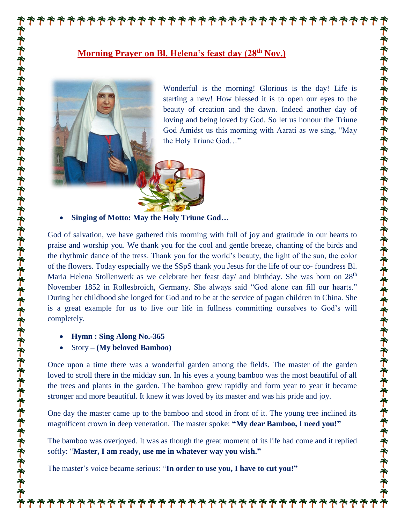## **Morning Prayer on Bl. Helena's feast day (28th Nov.)**



Wonderful is the morning! Glorious is the day! Life is starting a new! How blessed it is to open our eyes to the beauty of creation and the dawn. Indeed another day of loving and being loved by God. So let us honour the Triune God Amidst us this morning with Aarati as we sing, "May the Holy Triune God…"

**アオネネネネネネネネネネネネネネネネネネネネネネネネネネネネネネネネネネ** 

**Singing of Motto: May the Holy Triune God…**

God of salvation, we have gathered this morning with full of joy and gratitude in our hearts to praise and worship you. We thank you for the cool and gentle breeze, chanting of the birds and the rhythmic dance of the tress. Thank you for the world's beauty, the light of the sun, the color of the flowers. Today especially we the SSpS thank you Jesus for the life of our co- foundress Bl. Maria Helena Stollenwerk as we celebrate her feast day/ and birthday. She was born on 28<sup>th</sup> November 1852 in Rollesbroich, Germany. She always said "God alone can fill our hearts." During her childhood she longed for God and to be at the service of pagan children in China. She is a great example for us to live our life in fullness committing ourselves to God's will completely.

**Hymn : Sing Along No.-365**

Story **– (My beloved Bamboo)**

Once upon a time there was a wonderful garden among the fields. The master of the garden loved to stroll there in the midday sun. In his eyes a young bamboo was the most beautiful of all the trees and plants in the garden. The bamboo grew rapidly and form year to year it became stronger and more beautiful. It knew it was loved by its master and was his pride and joy.

One day the master came up to the bamboo and stood in front of it. The young tree inclined its magnificent crown in deep veneration. The master spoke: **"My dear Bamboo, I need you!"**

The bamboo was overjoyed. It was as though the great moment of its life had come and it replied softly: "**Master, I am ready, use me in whatever way you wish."**

\*\*\*\*\*\*\*\*\*\*\*\*\*\*\*\*

The master's voice became serious: "**In order to use you, I have to cut you!"**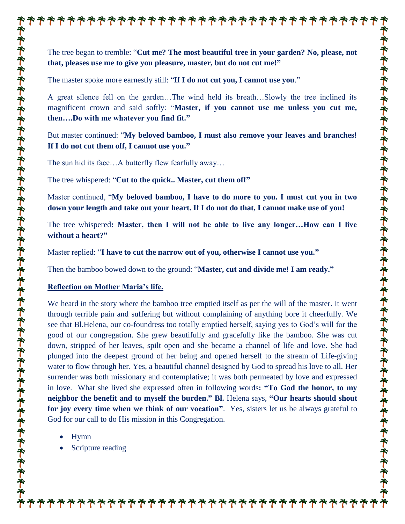The tree began to tremble: "**Cut me? The most beautiful tree in your garden? No, please, not that, pleases use me to give you pleasure, master, but do not cut me!"**

\*\*\*\*\*\*\*\*\*\*\*\*\*\*\*\*\*\*\*\*

The master spoke more earnestly still: "**If I do not cut you, I cannot use you**."

A great silence fell on the garden…The wind held its breath…Slowly the tree inclined its magnificent crown and said softly: "**Master, if you cannot use me unless you cut me, then….Do with me whatever you find fit."**

But master continued: "**My beloved bamboo, I must also remove your leaves and branches! If I do not cut them off, I cannot use you."**

The sun hid its face…A butterfly flew fearfully away…

The tree whispered: "**Cut to the quick.. Master, cut them off"**

Master continued, "**My beloved bamboo, I have to do more to you. I must cut you in two down your length and take out your heart. If I do not do that, I cannot make use of you!**

The tree whispered**: Master, then I will not be able to live any longer…How can I live without a heart?"**

Master replied: "**I have to cut the narrow out of you, otherwise I cannot use you."**

Then the bamboo bowed down to the ground: "**Master, cut and divide me! I am ready."**

## **Reflection on Mother Maria's life.**

We heard in the story where the bamboo tree emptied itself as per the will of the master. It went through terrible pain and suffering but without complaining of anything bore it cheerfully. We see that Bl.Helena, our co-foundress too totally emptied herself, saying yes to God's will for the good of our congregation. She grew beautifully and gracefully like the bamboo. She was cut down, stripped of her leaves, spilt open and she became a channel of life and love. She had plunged into the deepest ground of her being and opened herself to the stream of Life-giving water to flow through her. Yes, a beautiful channel designed by God to spread his love to all. Her surrender was both missionary and contemplative; it was both permeated by love and expressed in love. What she lived she expressed often in following words**: "To God the honor, to my neighbor the benefit and to myself the burden." Bl.** Helena says, **"Our hearts should shout for joy every time when we think of our vocation"**. Yes, sisters let us be always grateful to God for our call to do His mission in this Congregation.

\*\*\*\*\*\*\*\*\*\*\*\*\*\*\*\*\*\*\*\*\*\*

- Hymn
- Scripture reading